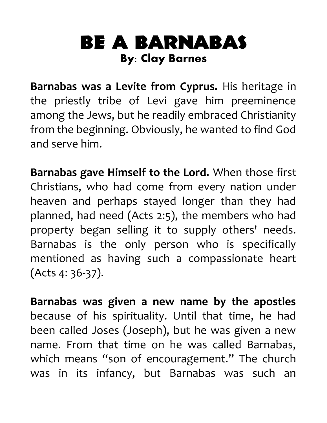## Be a Barnabas **By: Clay Barnes**

**Barnabas was a Levite from Cyprus.** His heritage in the priestly tribe of Levi gave him preeminence among the Jews, but he readily embraced Christianity from the beginning. Obviously, he wanted to find God and serve him.

**Barnabas gave Himself to the Lord.** When those first Christians, who had come from every nation under heaven and perhaps stayed longer than they had planned, had need (Acts 2:5), the members who had property began selling it to supply others' needs. Barnabas is the only person who is specifically mentioned as having such a compassionate heart (Acts 4: 36-37).

**Barnabas was given a new name by the apostles** because of his spirituality. Until that time, he had been called Joses (Joseph), but he was given a new name. From that time on he was called Barnabas, which means "son of encouragement." The church was in its infancy, but Barnabas was such an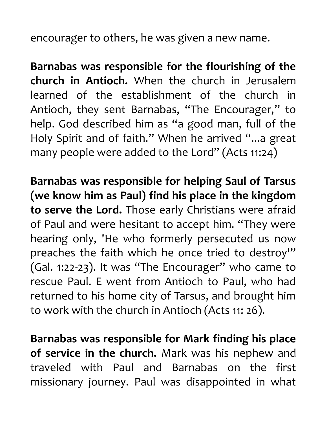encourager to others, he was given a new name.

**Barnabas was responsible for the flourishing of the church in Antioch.** When the church in Jerusalem learned of the establishment of the church in Antioch, they sent Barnabas, "The Encourager," to help. God described him as "a good man, full of the Holy Spirit and of faith." When he arrived "...a great many people were added to the Lord" (Acts 11:24)

**Barnabas was responsible for helping Saul of Tarsus (we know him as Paul) find his place in the kingdom to serve the Lord.** Those early Christians were afraid of Paul and were hesitant to accept him. "They were hearing only, 'He who formerly persecuted us now preaches the faith which he once tried to destroy"" (Gal. 1:22-23). It was "The Encourager" who came to rescue Paul. E went from Antioch to Paul, who had returned to his home city of Tarsus, and brought him to work with the church in Antioch (Acts 11: 26).

**Barnabas was responsible for Mark finding his place of service in the church.** Mark was his nephew and traveled with Paul and Barnabas on the first missionary journey. Paul was disappointed in what